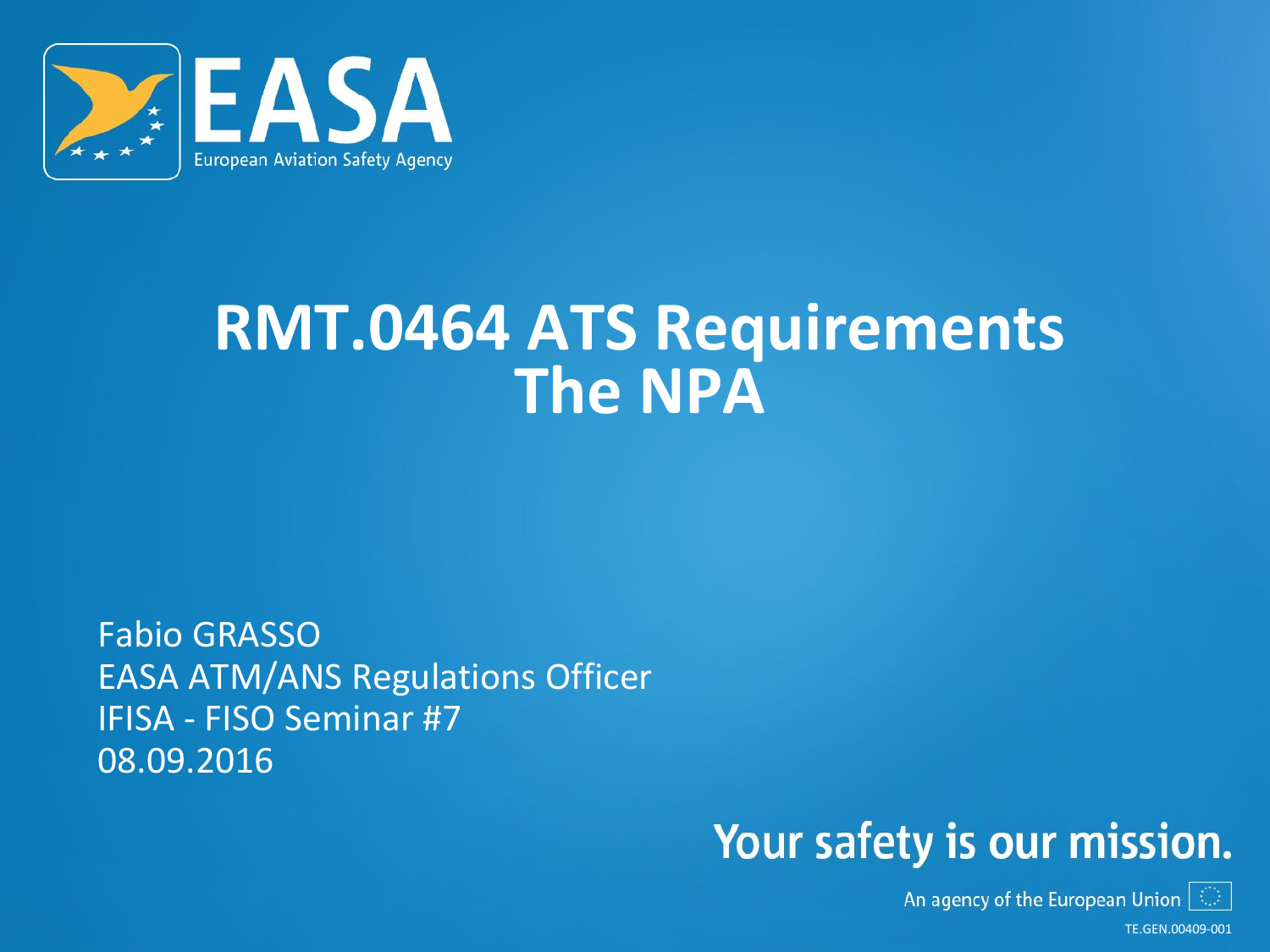

## **RMT.0464 ATS Requirements The NPA**

Fabio GRASSO EASA ATM/ANS Regulations Officer IFISA - FISO Seminar #7 08.09.2016

### Your safety is our mission.

An agency of the European Union  $|\mathbb{O}|$ 

TE.GEN.00409-001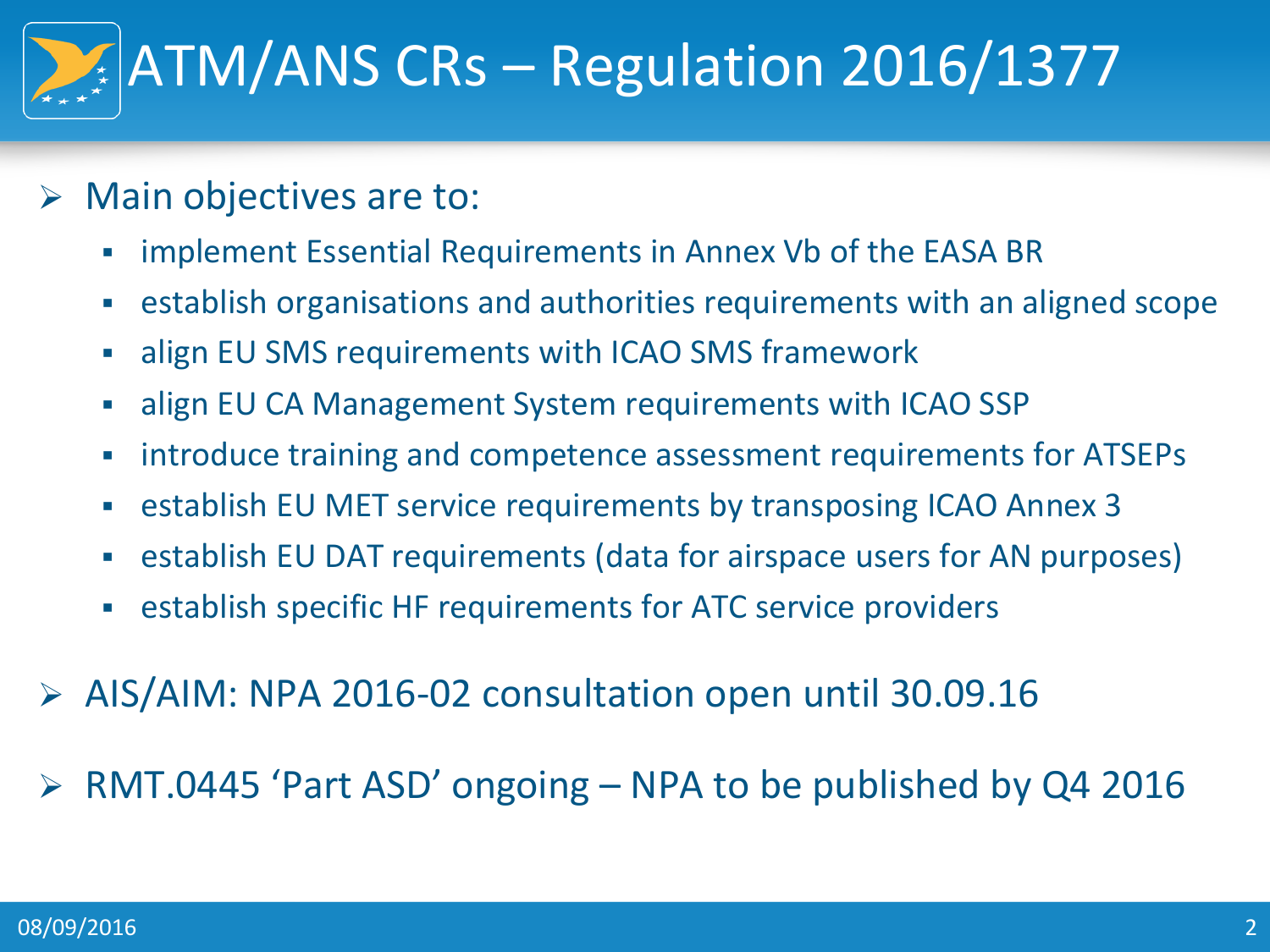# ATM/ANS CRs – Regulation 2016/1377

- $\triangleright$  Main objectives are to:
	- **Fall implement Essential Requirements in Annex Vb of the EASA BR**
	- establish organisations and authorities requirements with an aligned scope
	- align EU SMS requirements with ICAO SMS framework
	- align EU CA Management System requirements with ICAO SSP
	- introduce training and competence assessment requirements for ATSEPs
	- establish EU MET service requirements by transposing ICAO Annex 3
	- establish EU DAT requirements (data for airspace users for AN purposes)
	- establish specific HF requirements for ATC service providers
- AIS/AIM: NPA 2016-02 consultation open until 30.09.16
- RMT.0445 'Part ASD' ongoing NPA to be published by Q4 2016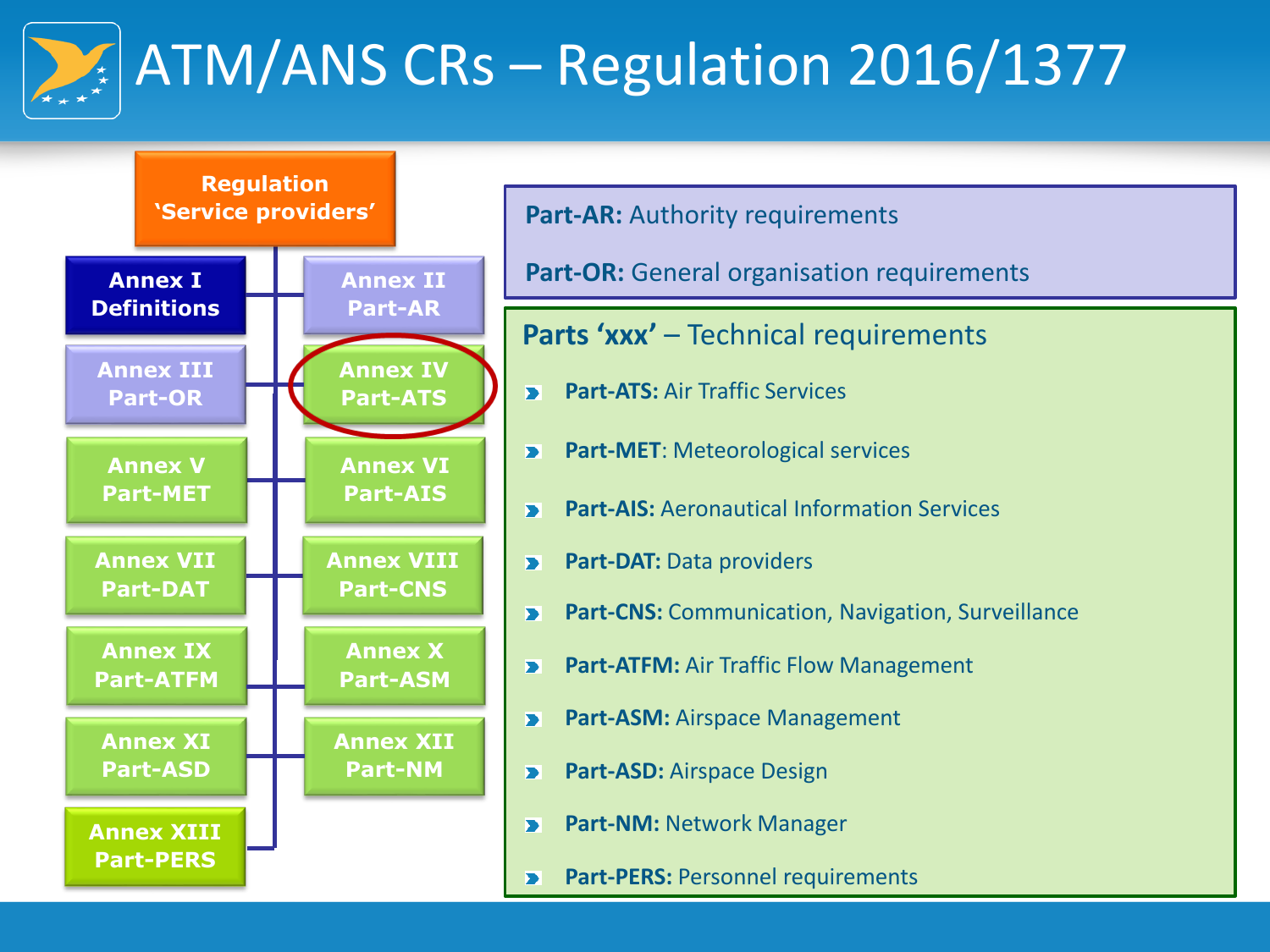

## ATM/ANS CRs – Regulation 2016/1377



**Part-AR: Authority requirements** 

**Part-OR:** General organisation requirements

**Parts 'xxx' – Technical requirements** 

- **Part-ATS: Air Traffic Services**  $\blacktriangleright$
- **Part-MET**: Meteorological services  $\blacktriangleright$
- **Part-AIS:** Aeronautical Information Services  $\blacktriangleright$
- **Part-DAT: Data providers**  $\overline{\blacktriangleright}$
- **Part-CNS:** Communication, Navigation, Surveillance  $\blacktriangleright$
- **Part-ATFM:** Air Traffic Flow Management  $\blacktriangleright$
- **Part-ASM:** Airspace Management  $\blacktriangleright$
- **Part-ASD:** Airspace Design  $\overline{\phantom{0}}$
- **Part-NM:** Network Manager  $\blacktriangleright$
- **Part-PERS: Personnel requirements**  $\blacktriangleright$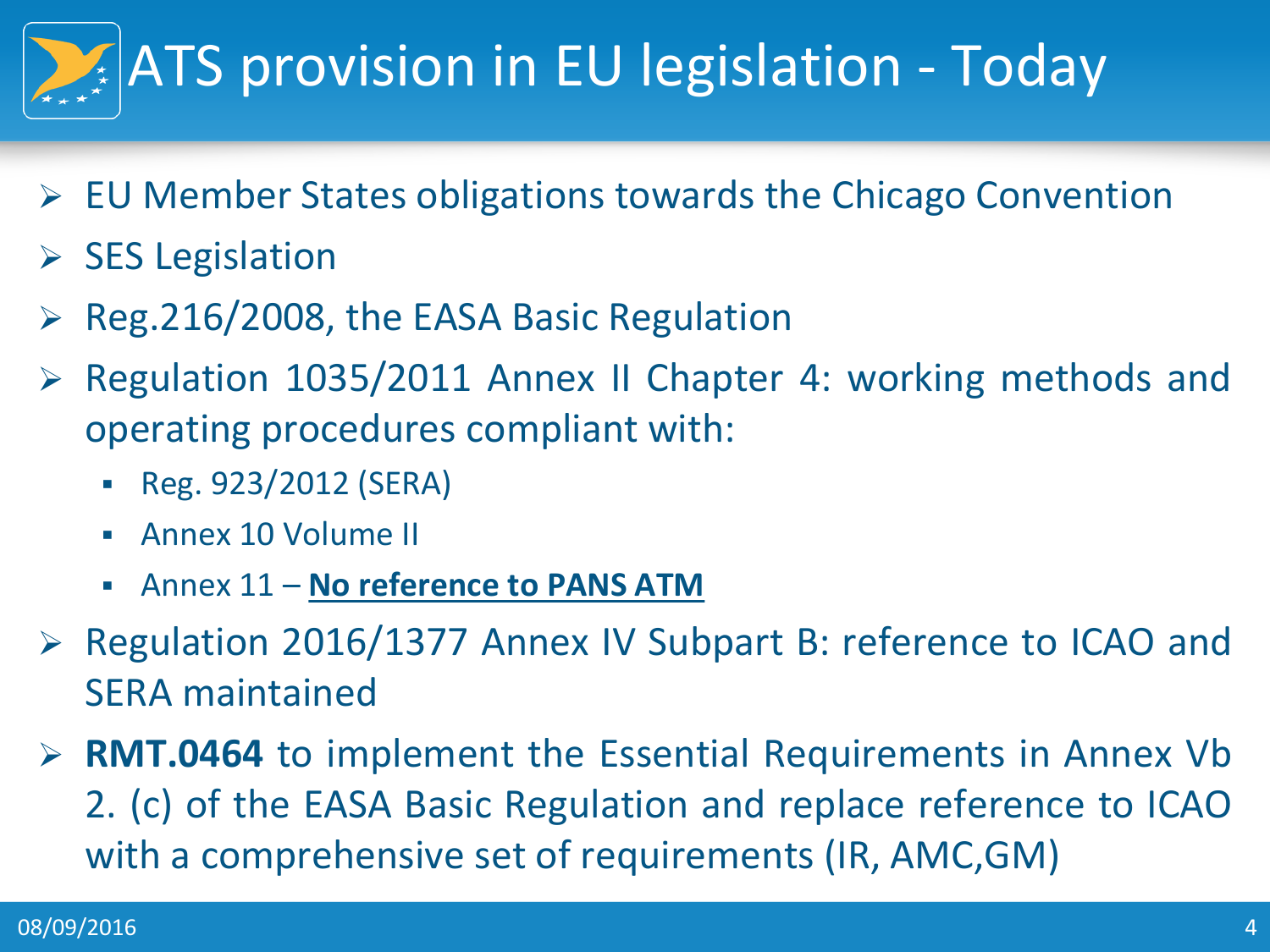# ATS provision in EU legislation - Today

- $\triangleright$  EU Member States obligations towards the Chicago Convention
- $\triangleright$  SES Legislation
- Reg.216/2008, the EASA Basic Regulation
- $\triangleright$  Regulation 1035/2011 Annex II Chapter 4: working methods and operating procedures compliant with:
	- Reg. 923/2012 (SERA)
	- Annex 10 Volume II
	- Annex 11 **No reference to PANS ATM**
- ▶ Regulation 2016/1377 Annex IV Subpart B: reference to ICAO and SERA maintained
- **RMT.0464** to implement the Essential Requirements in Annex Vb 2. (c) of the EASA Basic Regulation and replace reference to ICAO with a comprehensive set of requirements (IR, AMC,GM)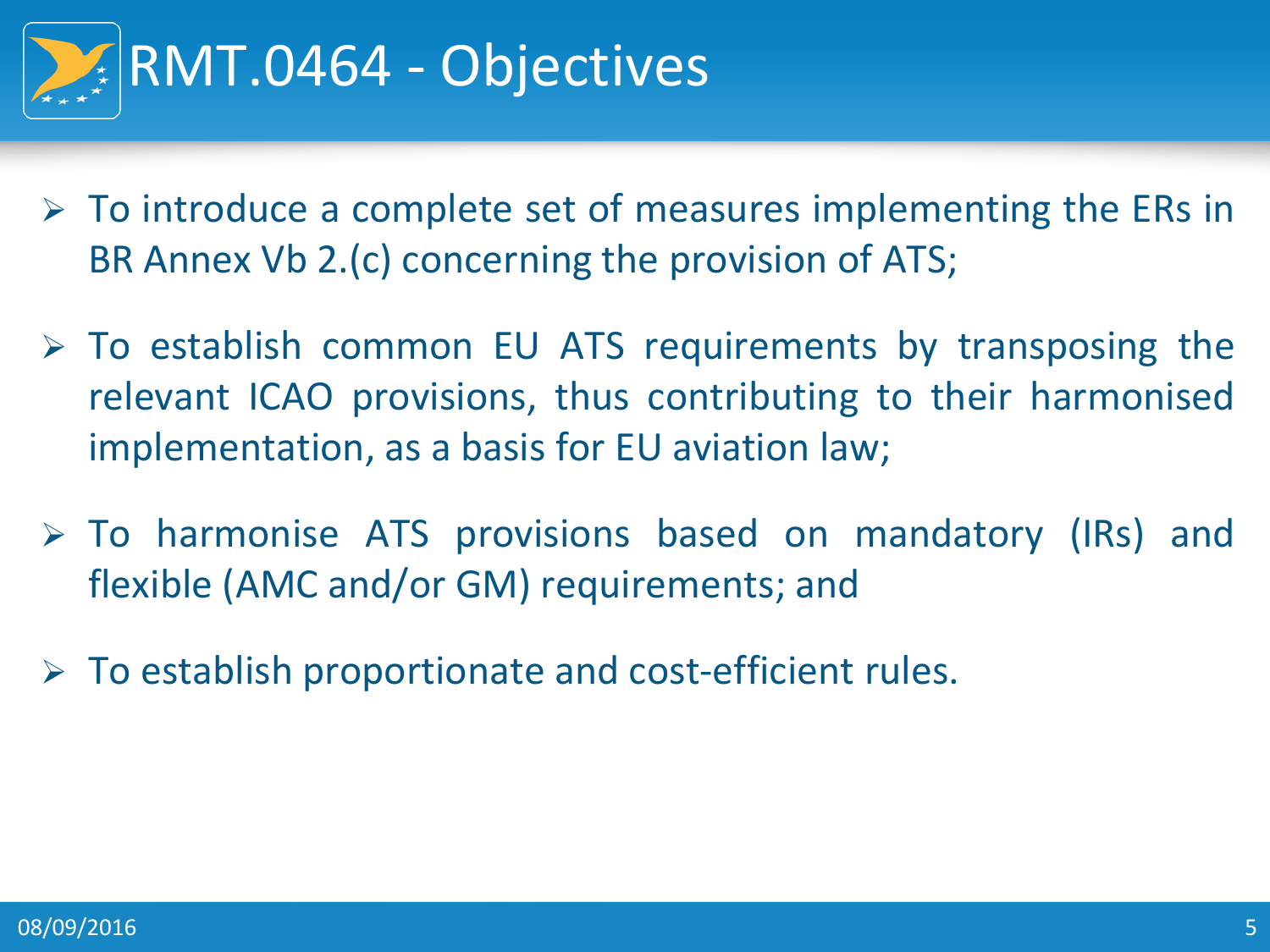

- $\triangleright$  To introduce a complete set of measures implementing the ERs in BR Annex Vb 2.(c) concerning the provision of ATS;
- $\triangleright$  To establish common EU ATS requirements by transposing the relevant ICAO provisions, thus contributing to their harmonised implementation, as a basis for EU aviation law;
- To harmonise ATS provisions based on mandatory (IRs) and flexible (AMC and/or GM) requirements; and
- $\triangleright$  To establish proportionate and cost-efficient rules.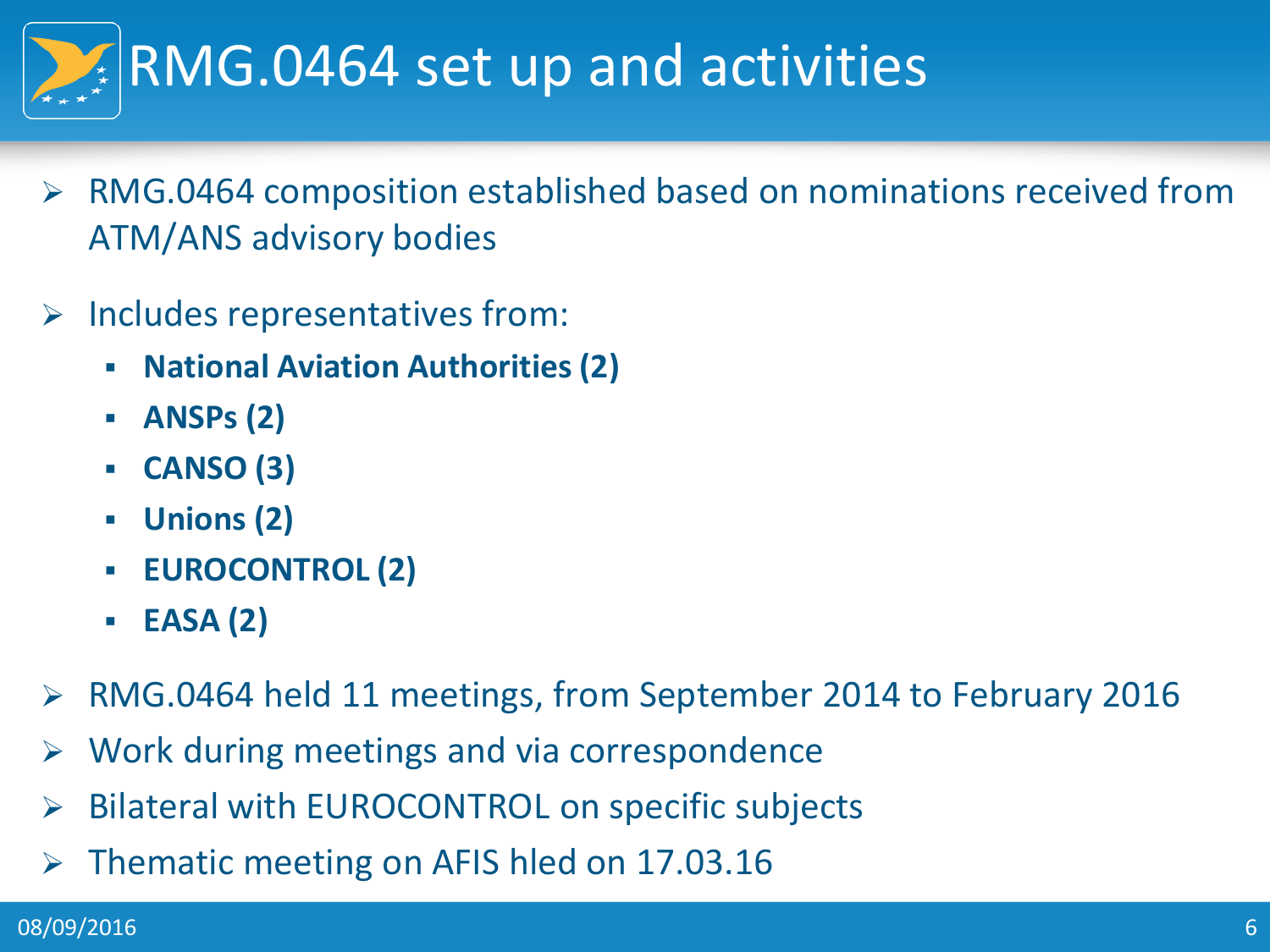

- RMG.0464 composition established based on nominations received from ATM/ANS advisory bodies
- $\triangleright$  Includes representatives from:
	- **National Aviation Authorities (2)**
	- **ANSPs (2)**
	- **CANSO (3)**
	- **Unions (2)**
	- **EUROCONTROL (2)**
	- **EASA (2)**
- RMG.0464 held 11 meetings, from September 2014 to February 2016
- Work during meetings and via correspondence
- ▶ Bilateral with EUROCONTROL on specific subjects
- $\triangleright$  Thematic meeting on AFIS hled on 17.03.16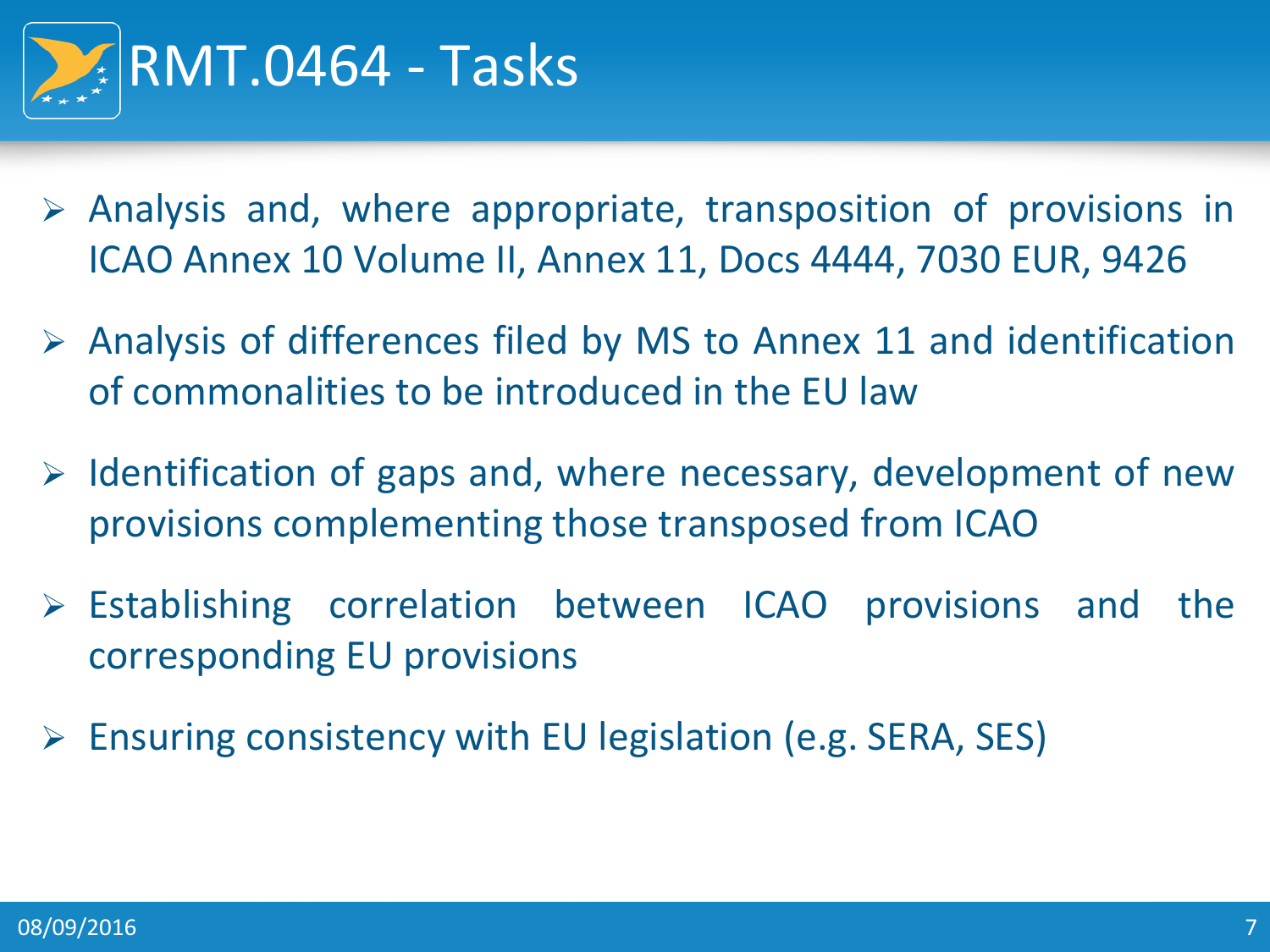

- $\triangleright$  Analysis and, where appropriate, transposition of provisions in ICAO Annex 10 Volume II, Annex 11, Docs 4444, 7030 EUR, 9426
- $\triangleright$  Analysis of differences filed by MS to Annex 11 and identification of commonalities to be introduced in the EU law
- $\triangleright$  Identification of gaps and, where necessary, development of new provisions complementing those transposed from ICAO
- $\triangleright$  Establishing correlation between ICAO provisions and the corresponding EU provisions
- $\triangleright$  Ensuring consistency with EU legislation (e.g. SERA, SES)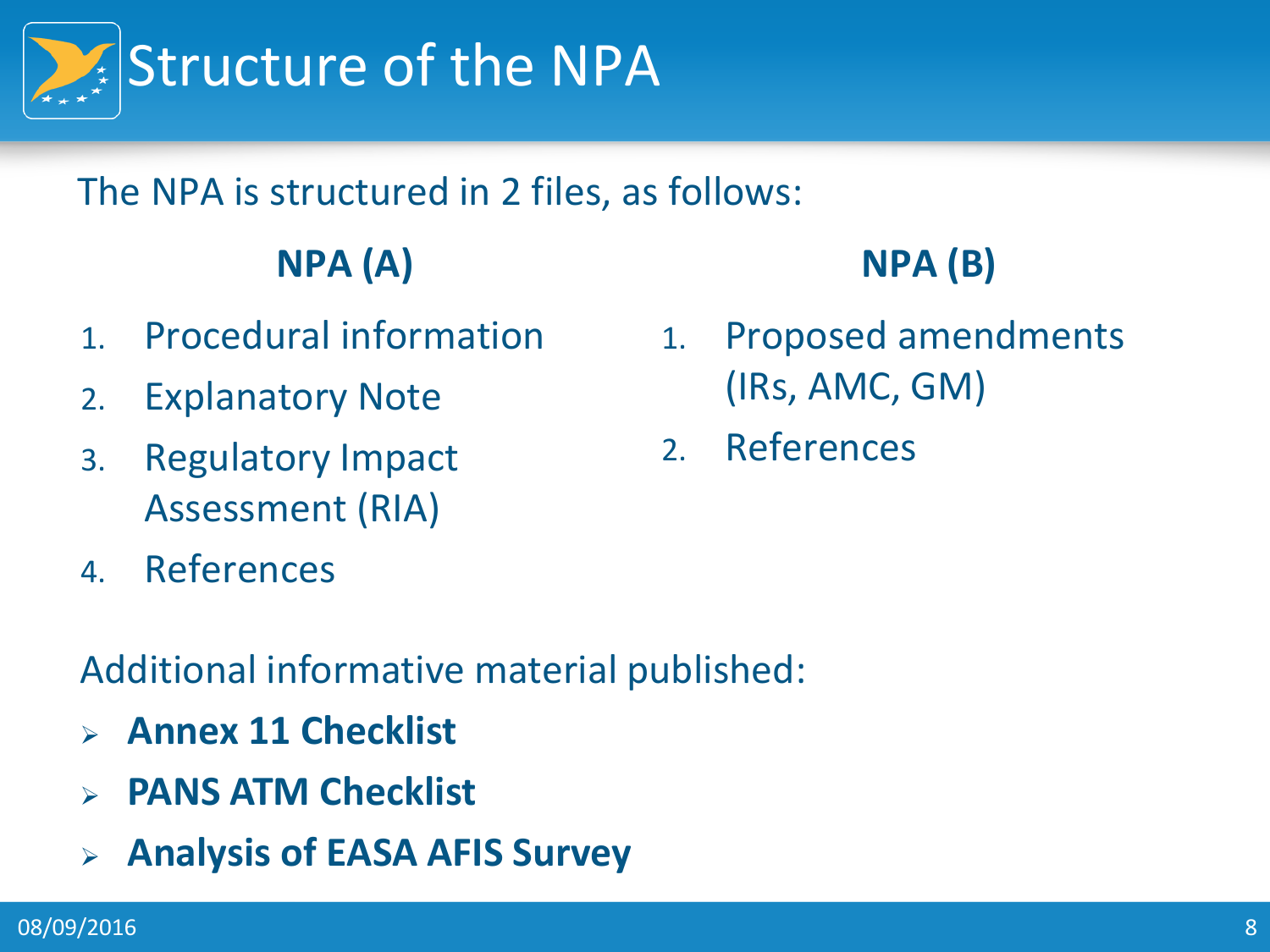

#### The NPA is structured in 2 files, as follows:

### **NPA (A)**

- 1. Procedural information
- 2. Explanatory Note
- 3. Regulatory Impact Assessment (RIA)
- 4. References

#### Additional informative material published:

- **Annex 11 Checklist**
- **PANS ATM Checklist**
- **Analysis of EASA AFIS Survey**

#### **NPA (B)**

- 1. Proposed amendments (IRs, AMC, GM)
- 2. References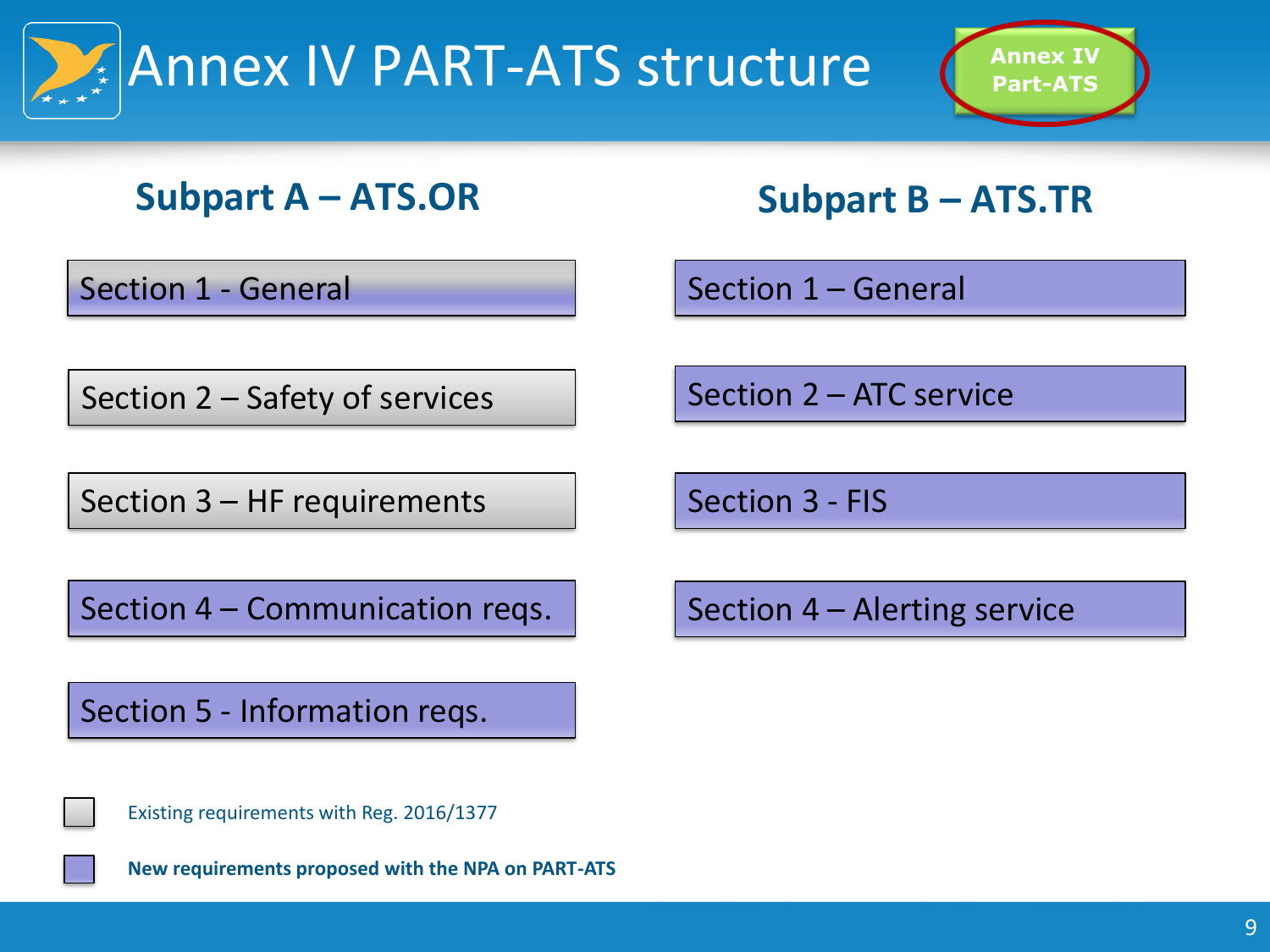



#### **Subpart A – ATS.OR Subpart B – ATS.TR**

Section 1 - General

Section 1 – General

Section 2 – Safety of services

Section 3 – HF requirements

Section 4 – Communication reqs.

Section 5 - Information reqs.

Existing requirements with Reg. 2016/1377

**New requirements proposed with the NPA on PART-ATS**

Section 2 – ATC service

Section 3 - FIS

Section 4 – Alerting service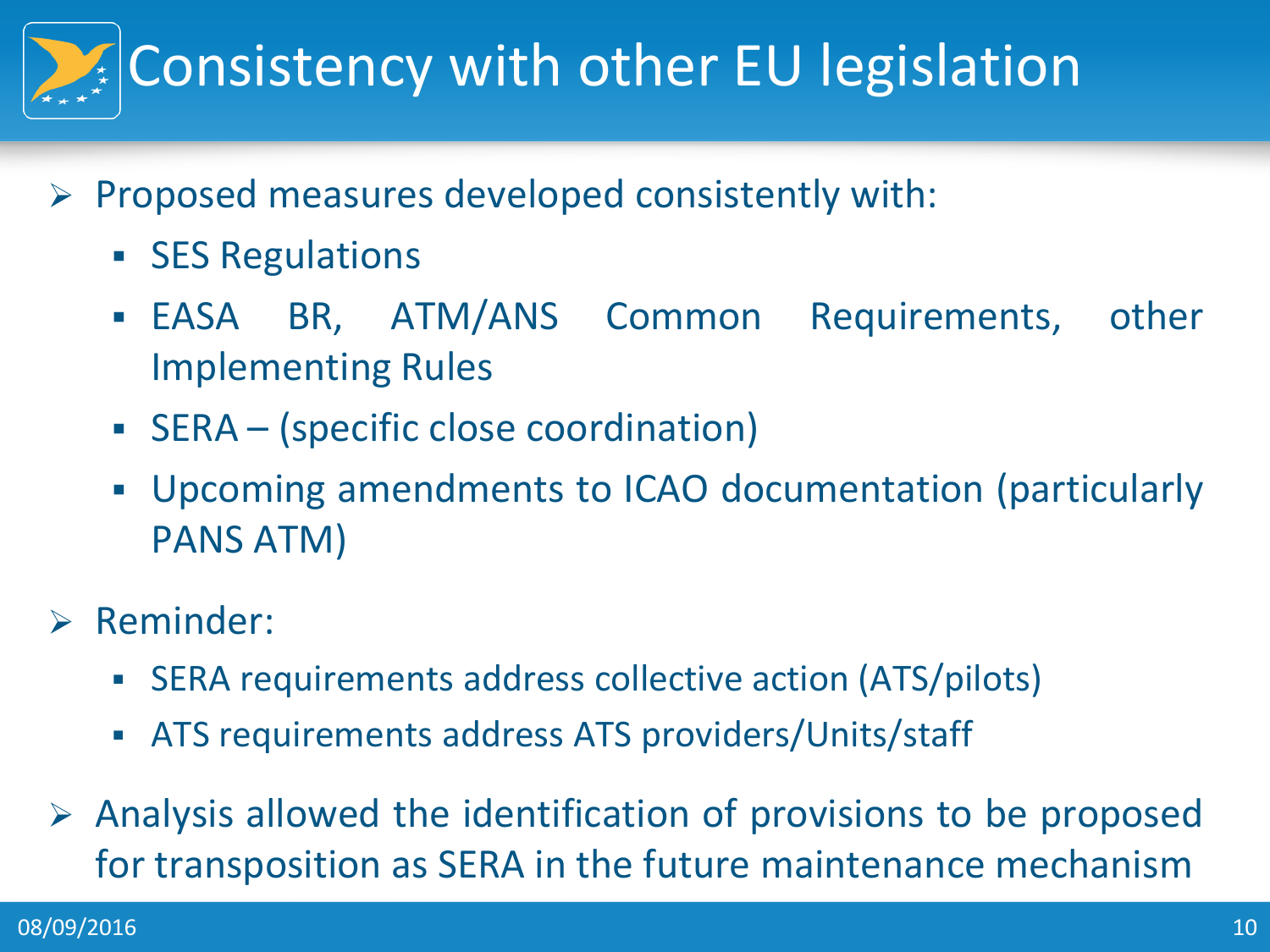

- $\triangleright$  Proposed measures developed consistently with:
	- **SES Regulations**
	- EASA BR, ATM/ANS Common Requirements, other Implementing Rules
	- SERA (specific close coordination)
	- Upcoming amendments to ICAO documentation (particularly PANS ATM)
- $\triangleright$  Reminder:
	- SERA requirements address collective action (ATS/pilots)
	- ATS requirements address ATS providers/Units/staff
- $\triangleright$  Analysis allowed the identification of provisions to be proposed for transposition as SERA in the future maintenance mechanism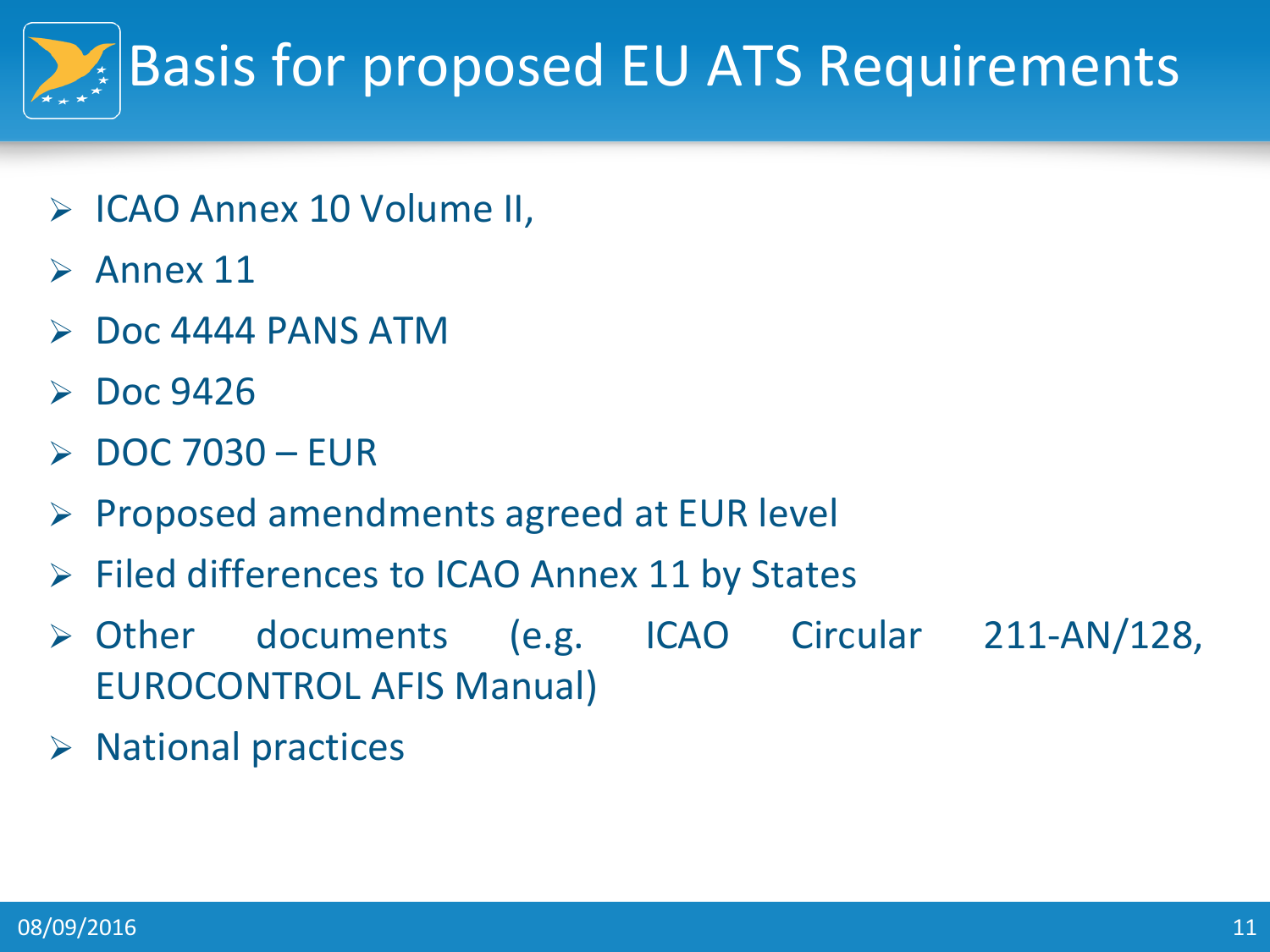# Basis for proposed EU ATS Requirements

- ICAO Annex 10 Volume II,
- $\triangleright$  Annex 11
- Doc 4444 PANS ATM
- $\triangleright$  Doc 9426
- DOC 7030 EUR
- $\triangleright$  Proposed amendments agreed at EUR level
- $\triangleright$  Filed differences to ICAO Annex 11 by States
- Other documents (e.g. ICAO Circular 211-AN/128, EUROCONTROL AFIS Manual)
- $\triangleright$  National practices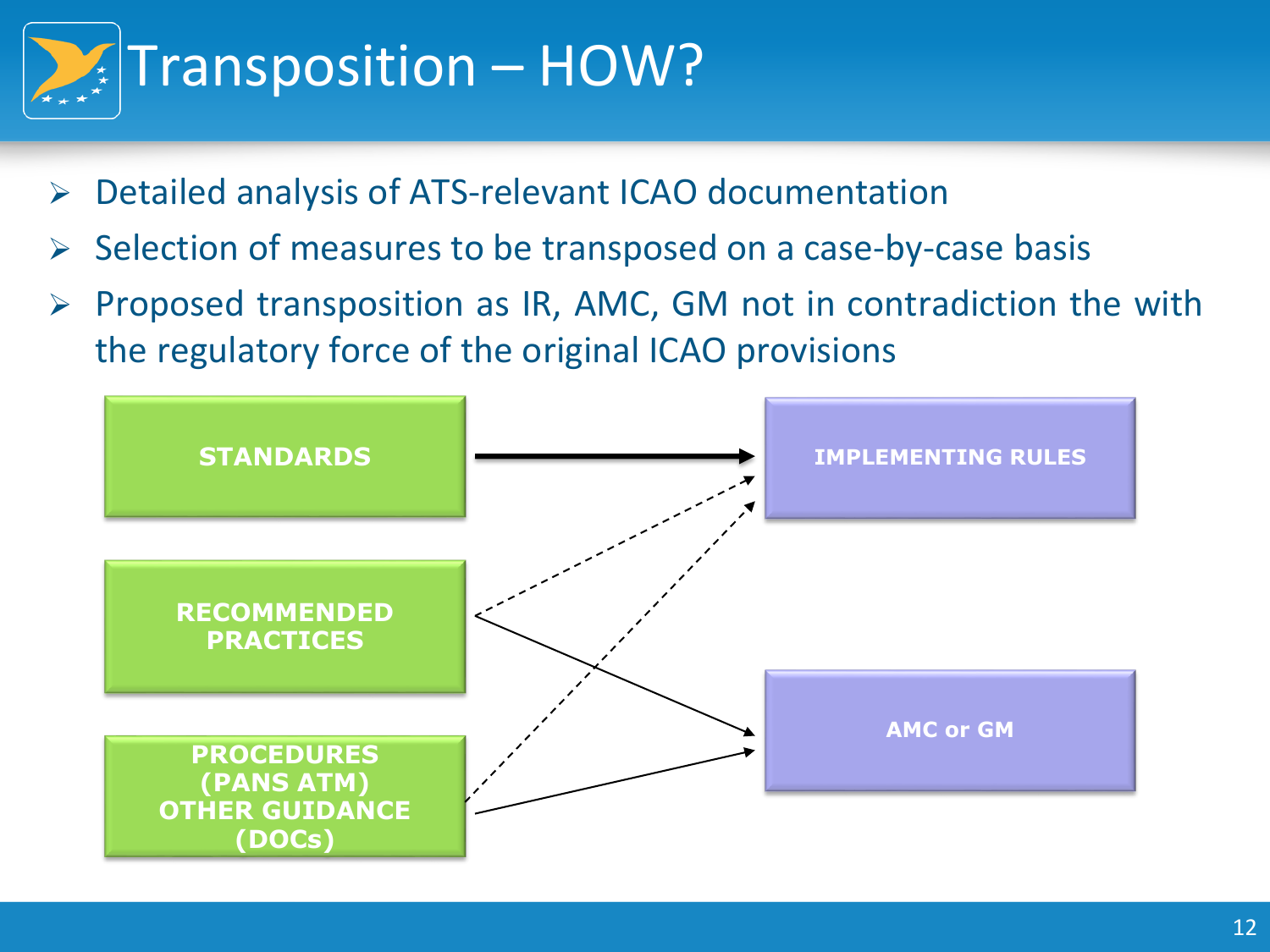

- Detailed analysis of ATS-relevant ICAO documentation
- Selection of measures to be transposed on a case-by-case basis
- $\triangleright$  Proposed transposition as IR, AMC, GM not in contradiction the with the regulatory force of the original ICAO provisions

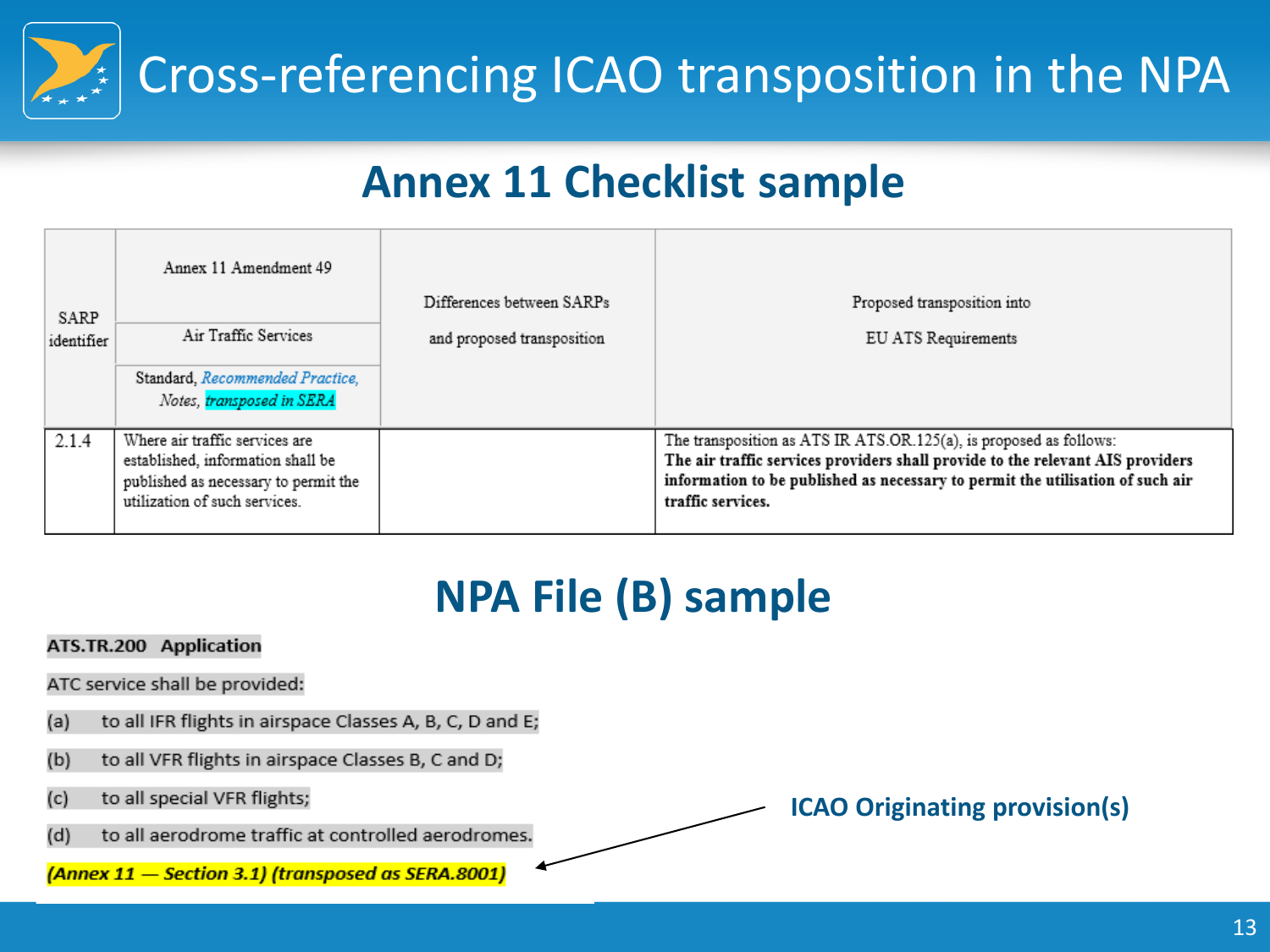Cross-referencing ICAO transposition in the NPA

### **Annex 11 Checklist sample**

| SARP<br>identifier | Annex 11 Amendment 49<br>Air Traffic Services<br>Standard, Recommended Practice,<br>Notes, transposed in SERA                                | Differences between SARPs<br>and proposed transposition | Proposed transposition into<br>EU ATS Requirements                                                                                                                                                                                                          |
|--------------------|----------------------------------------------------------------------------------------------------------------------------------------------|---------------------------------------------------------|-------------------------------------------------------------------------------------------------------------------------------------------------------------------------------------------------------------------------------------------------------------|
| 2.1.4              | Where air traffic services are<br>established, information shall be<br>published as necessary to permit the<br>utilization of such services. |                                                         | The transposition as ATS IR ATS.OR.125(a), is proposed as follows:<br>The air traffic services providers shall provide to the relevant AIS providers<br>information to be published as necessary to permit the utilisation of such air<br>traffic services. |

### **NPA File (B) sample**

- ATS.TR.200 Application
- ATC service shall be provided:
- to all IFR flights in airspace Classes A, B, C, D and E;  $(a)$
- to all VFR flights in airspace Classes B, C and D;  $(b)$
- to all special VFR flights;  $(c)$
- to all aerodrome traffic at controlled aerodromes.  $(d)$

(Annex 11 - Section 3.1) (transposed as SERA.8001)

**ICAO Originating provision(s)**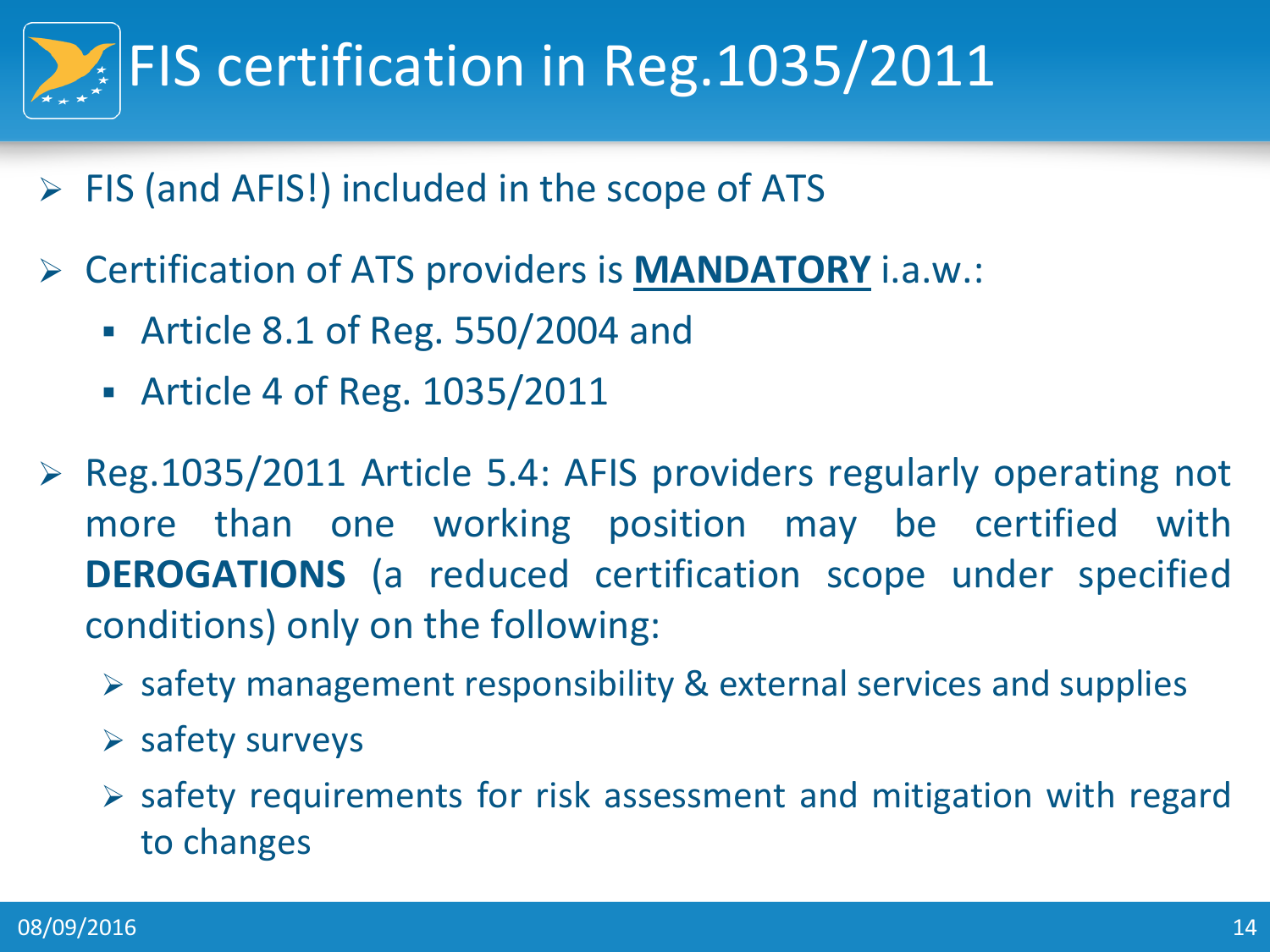# FIS certification in Reg.1035/2011

- $\triangleright$  FIS (and AFIS!) included in the scope of ATS
- Certification of ATS providers is **MANDATORY** i.a.w.:
	- Article 8.1 of Reg. 550/2004 and
	- Article 4 of Reg. 1035/2011
- $\triangleright$  Reg.1035/2011 Article 5.4: AFIS providers regularly operating not more than one working position may be certified with **DEROGATIONS** (a reduced certification scope under specified conditions) only on the following:
	- $\triangleright$  safety management responsibility & external services and supplies
	- $\triangleright$  safety surveys
	- $\triangleright$  safety requirements for risk assessment and mitigation with regard to changes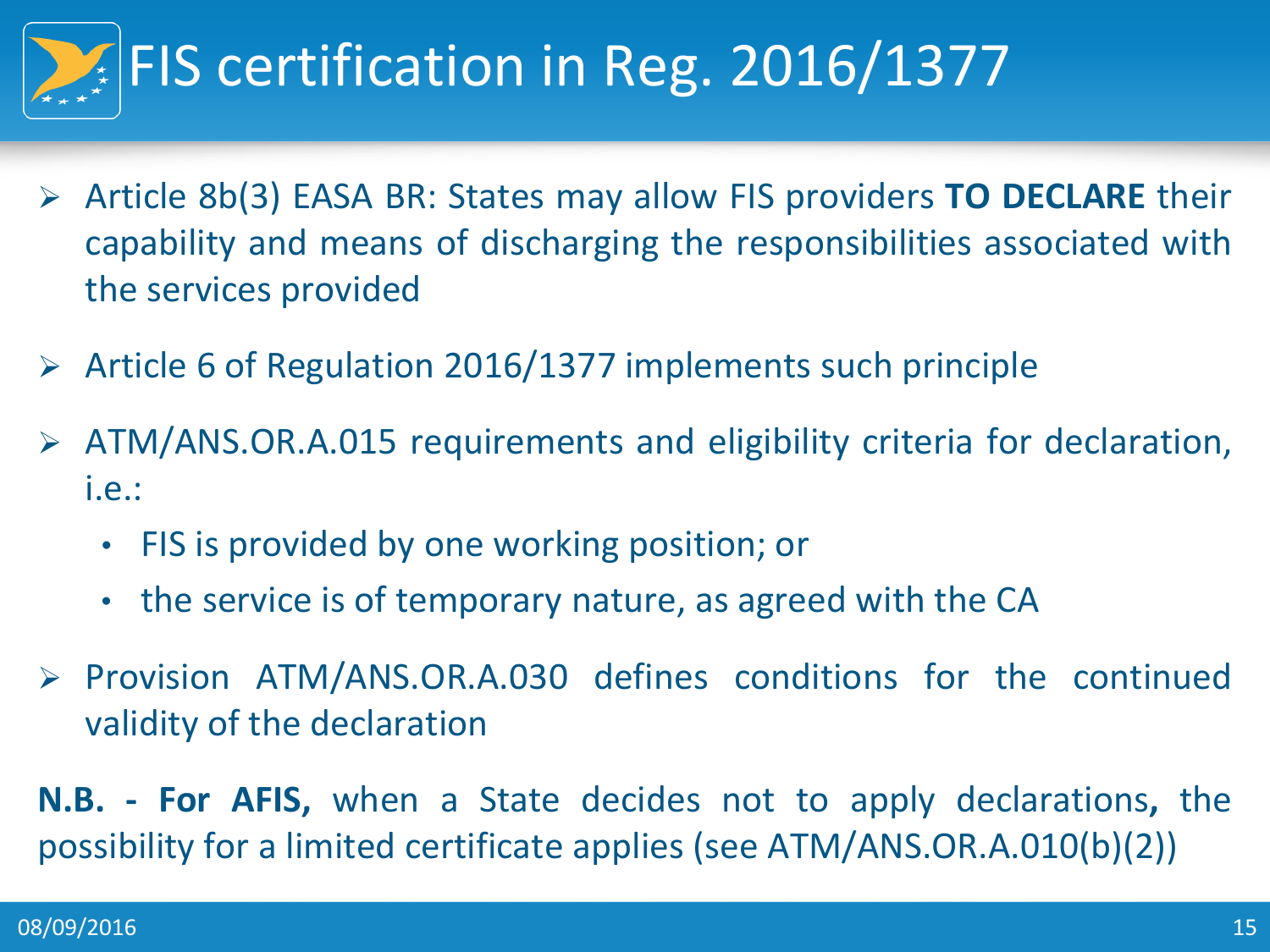

- Article 8b(3) EASA BR: States may allow FIS providers **TO DECLARE** their capability and means of discharging the responsibilities associated with the services provided
- $\triangleright$  Article 6 of Regulation 2016/1377 implements such principle
- ATM/ANS.OR.A.015 requirements and eligibility criteria for declaration, i.e.:
	- FIS is provided by one working position; or
	- the service is of temporary nature, as agreed with the CA
- $\triangleright$  Provision ATM/ANS.OR.A.030 defines conditions for the continued validity of the declaration

**N.B. - For AFIS,** when a State decides not to apply declarations**,** the possibility for a limited certificate applies (see ATM/ANS.OR.A.010(b)(2))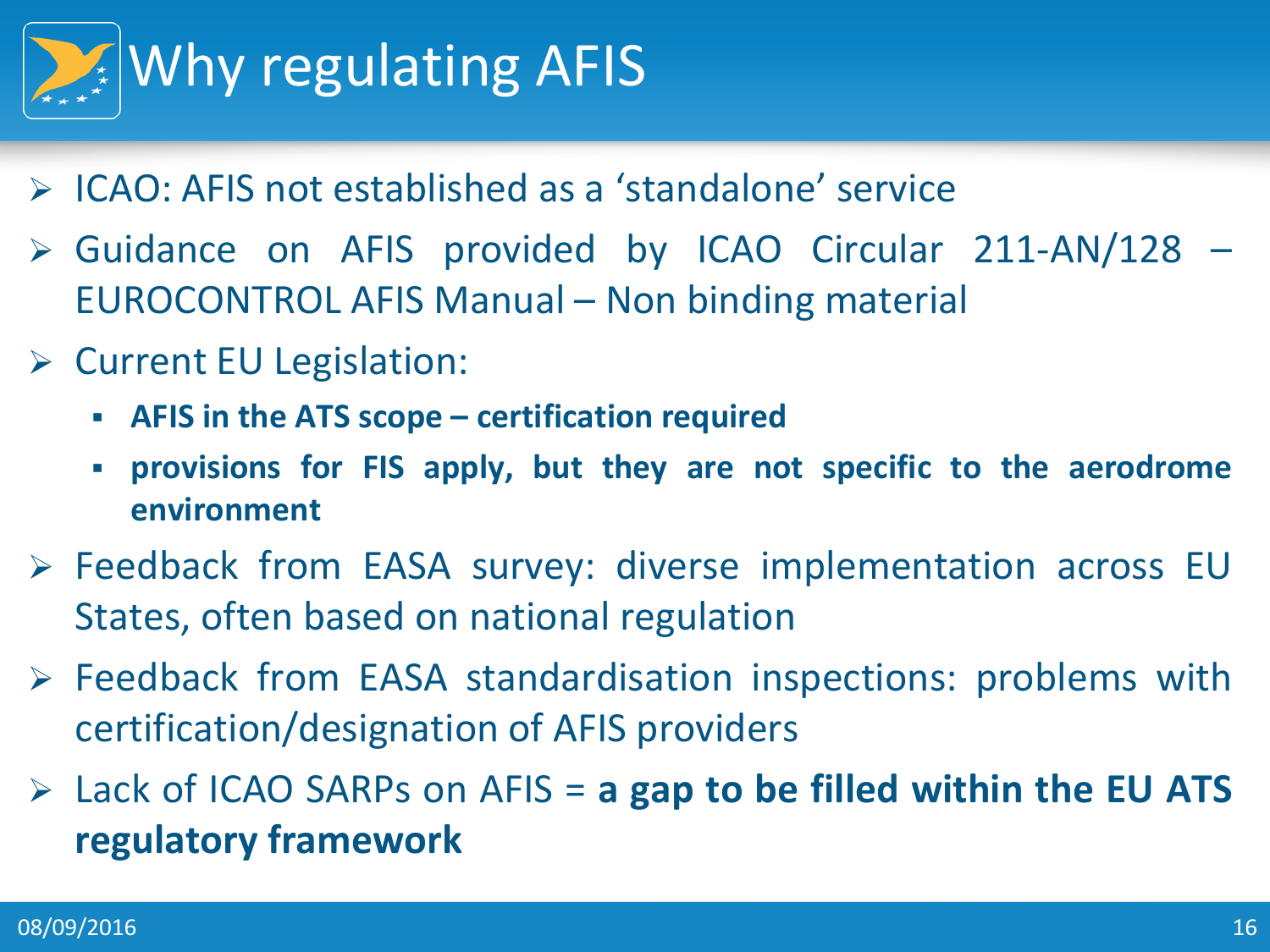

- **► ICAO: AFIS not established as a 'standalone' service**
- Guidance on AFIS provided by ICAO Circular 211-AN/128 EUROCONTROL AFIS Manual – Non binding material
- $\triangleright$  Current EU Legislation:
	- **AFIS in the ATS scope – certification required**
	- **provisions for FIS apply, but they are not specific to the aerodrome environment**
- Feedback from EASA survey: diverse implementation across EU States, often based on national regulation
- Feedback from EASA standardisation inspections: problems with certification/designation of AFIS providers
- Lack of ICAO SARPs on AFIS = **a gap to be filled within the EU ATS regulatory framework**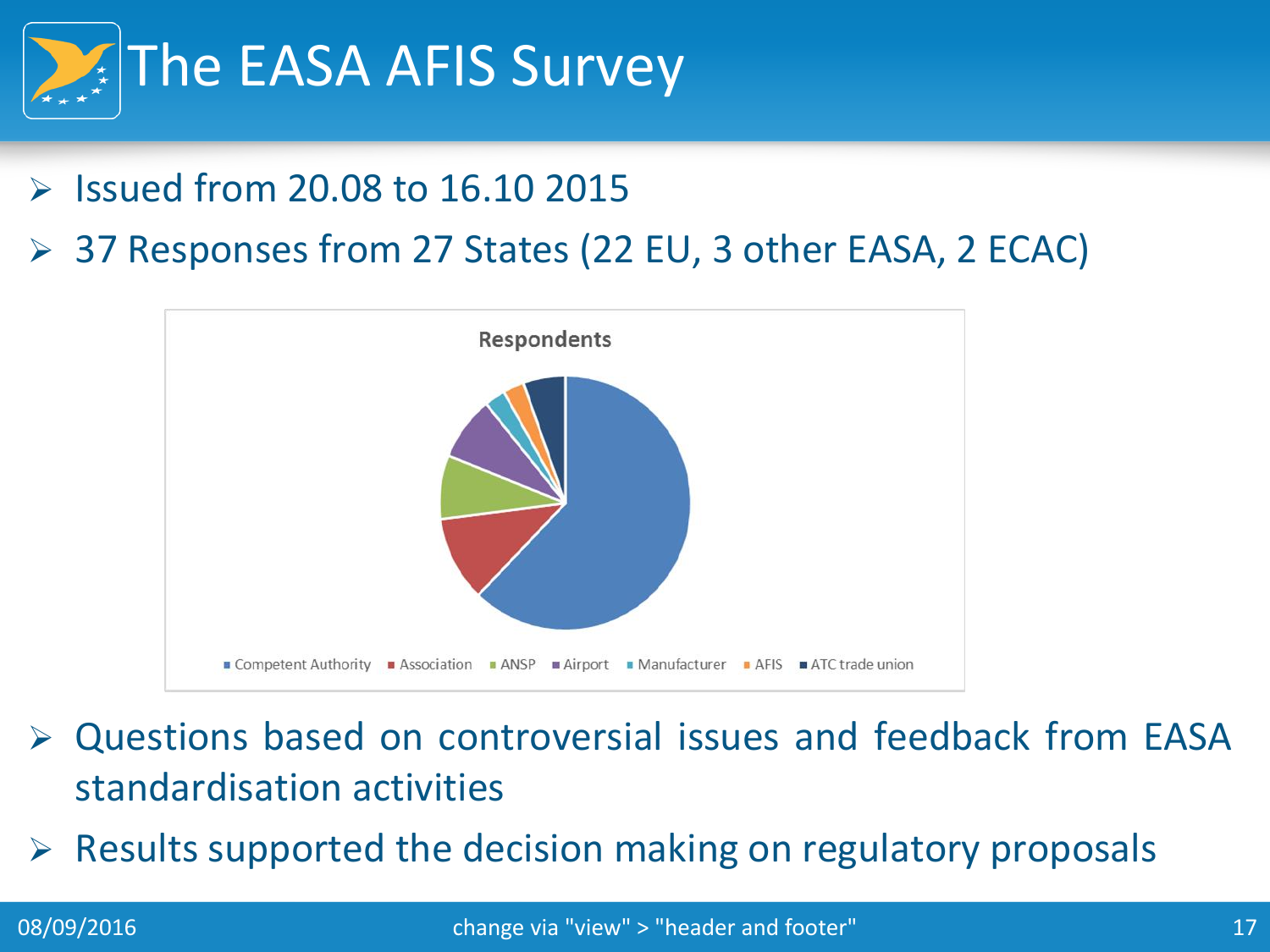

- $\triangleright$  Issued from 20.08 to 16.10 2015
- 37 Responses from 27 States (22 EU, 3 other EASA, 2 ECAC)



- Questions based on controversial issues and feedback from EASA standardisation activities
- $\triangleright$  Results supported the decision making on regulatory proposals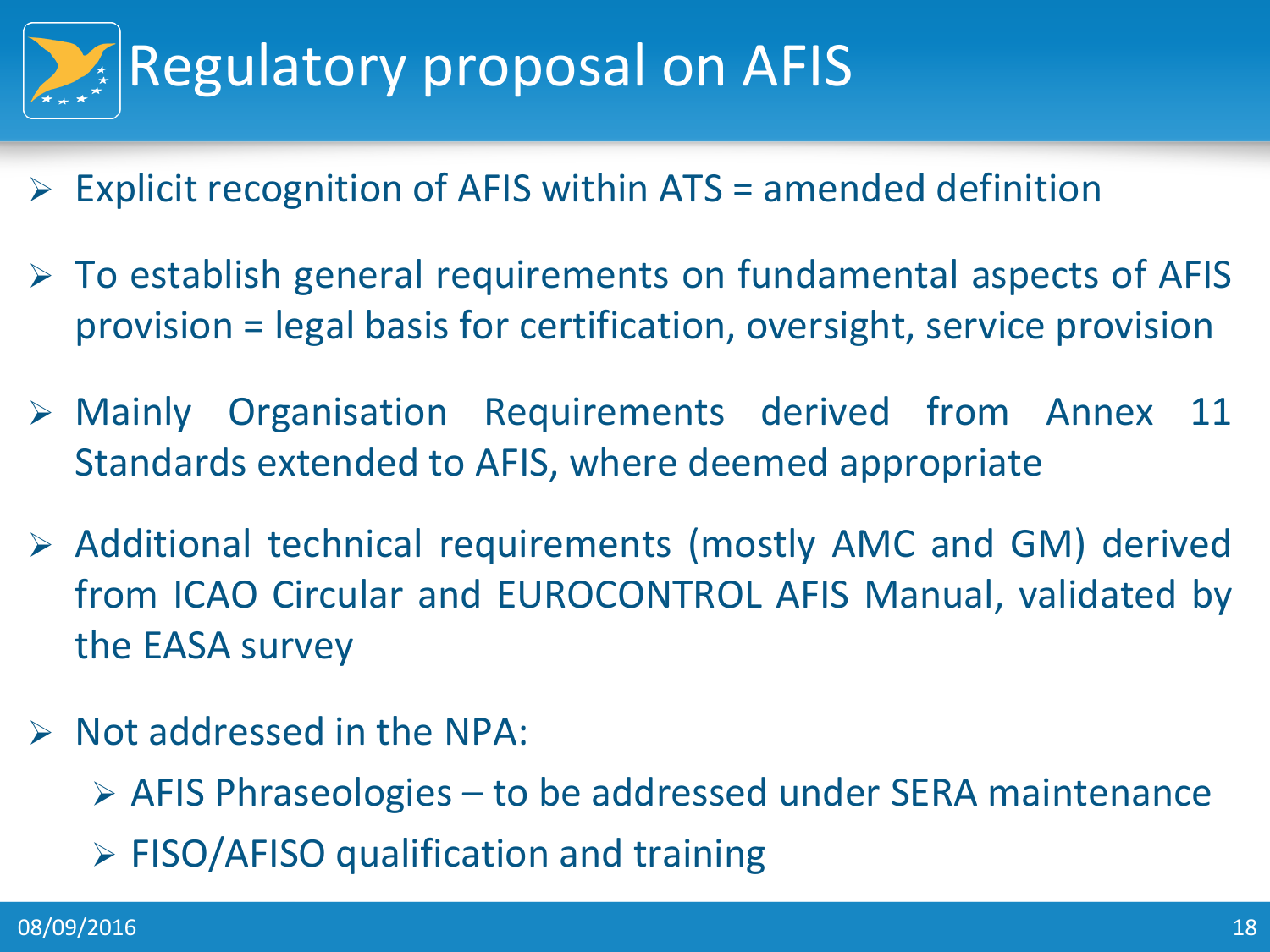

- $\triangleright$  Explicit recognition of AFIS within ATS = amended definition
- $\triangleright$  To establish general requirements on fundamental aspects of AFIS provision = legal basis for certification, oversight, service provision
- Mainly Organisation Requirements derived from Annex 11 Standards extended to AFIS, where deemed appropriate
- Additional technical requirements (mostly AMC and GM) derived from ICAO Circular and EUROCONTROL AFIS Manual, validated by the EASA survey
- $\triangleright$  Not addressed in the NPA:
	- $\triangleright$  AFIS Phraseologies to be addressed under SERA maintenance
	- $\triangleright$  FISO/AFISO qualification and training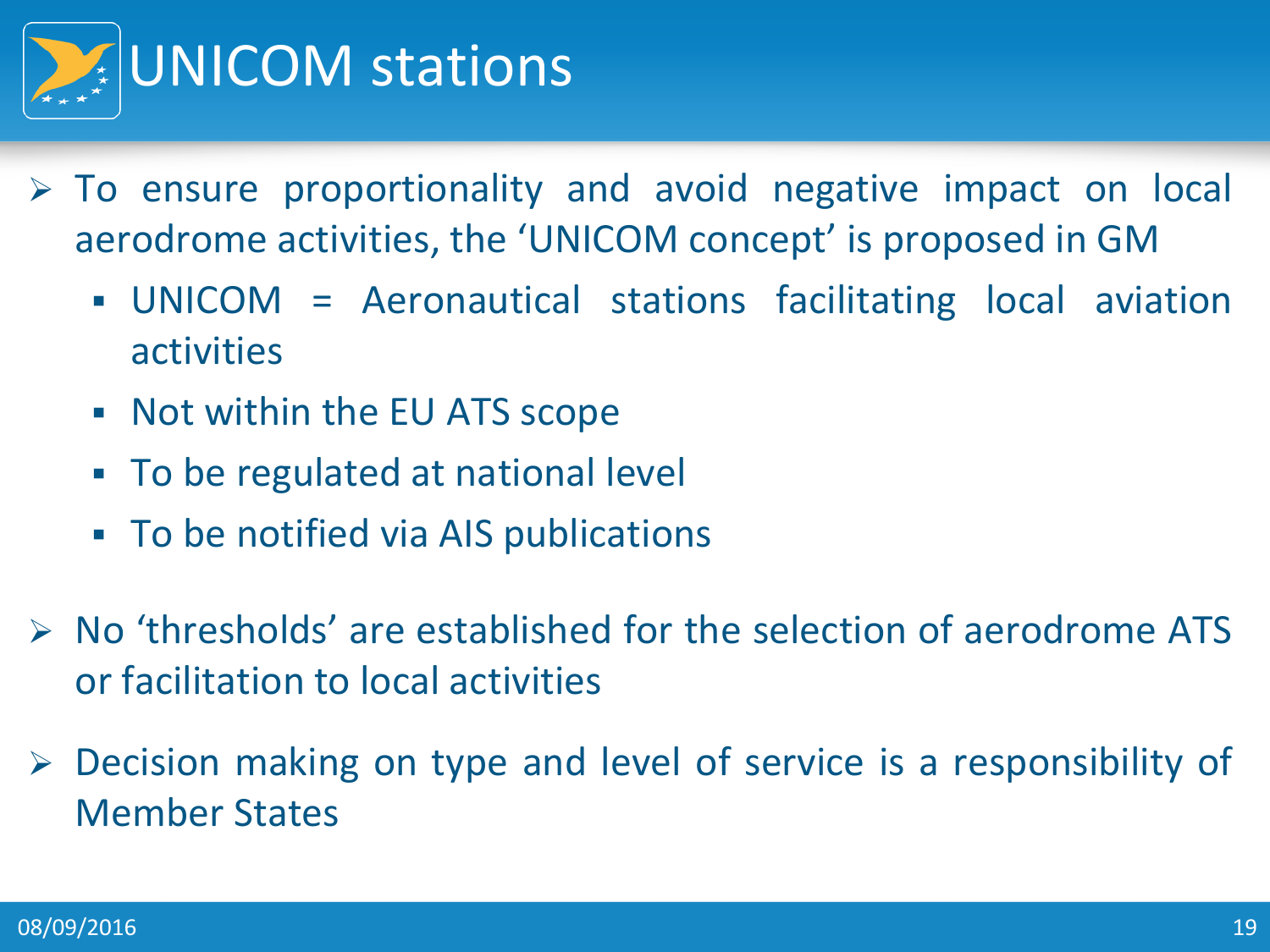

- $\triangleright$  To ensure proportionality and avoid negative impact on local aerodrome activities, the 'UNICOM concept' is proposed in GM
	- UNICOM = Aeronautical stations facilitating local aviation activities
	- Not within the EU ATS scope
	- To be regulated at national level
	- To be notified via AIS publications
- $\triangleright$  No 'thresholds' are established for the selection of aerodrome ATS or facilitation to local activities
- Decision making on type and level of service is a responsibility of Member States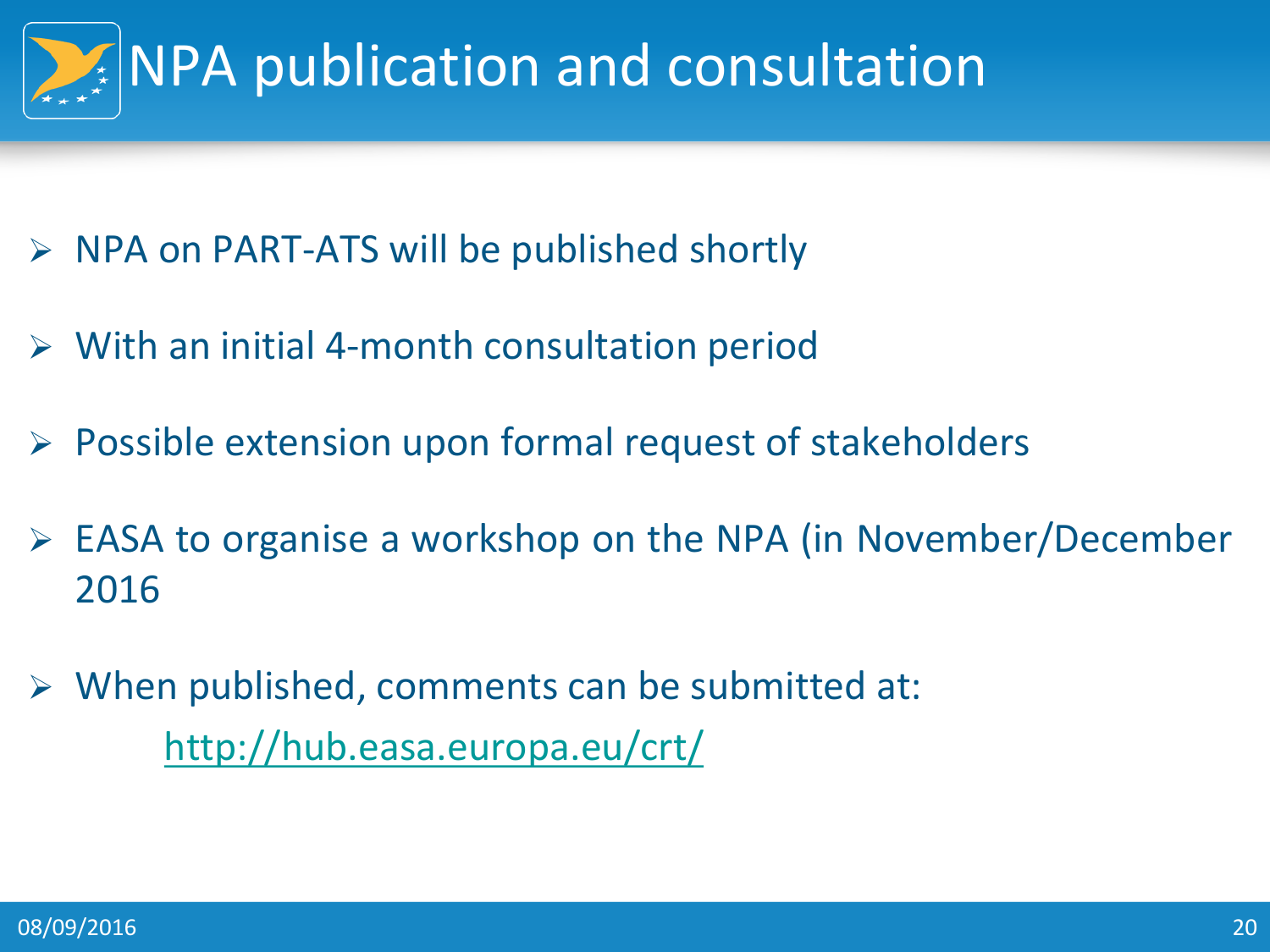

- $\triangleright$  NPA on PART-ATS will be published shortly
- $\triangleright$  With an initial 4-month consultation period
- $\triangleright$  Possible extension upon formal request of stakeholders
- EASA to organise a workshop on the NPA (in November/December 2016
- $\triangleright$  When published, comments can be submitted at: <http://hub.easa.europa.eu/crt/>